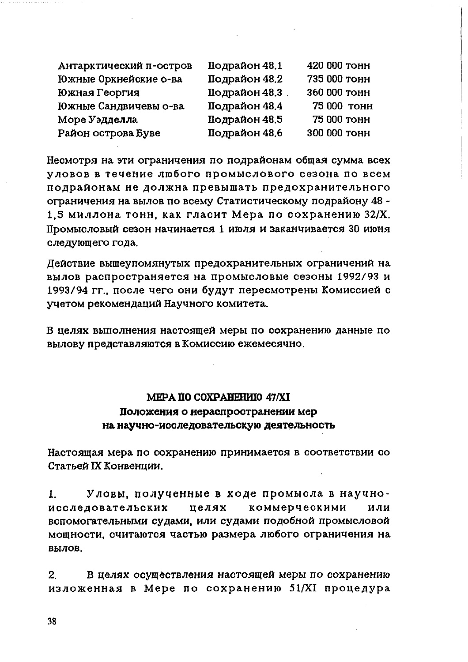## МЕРА ПО СОХРАНЕНИЮ 47/ХІ Положения о нераспространении мер на научно-исследовательскую деятельность

Настоящая мера по сохранению принимается в соответствии со Статьей IX Конвенции.

Уловы, полученные в ходе промысла в научно- $1_{-}$ исследовательских целях коммерческими или вспомогательными судами, или судами подобной промысловой мощности, считаются частью размера любого ограничения на вылов.

 $2.$ В целях осуществления настоящей меры по сохранению изложенная в Мере по сохранению 51/XI процедура